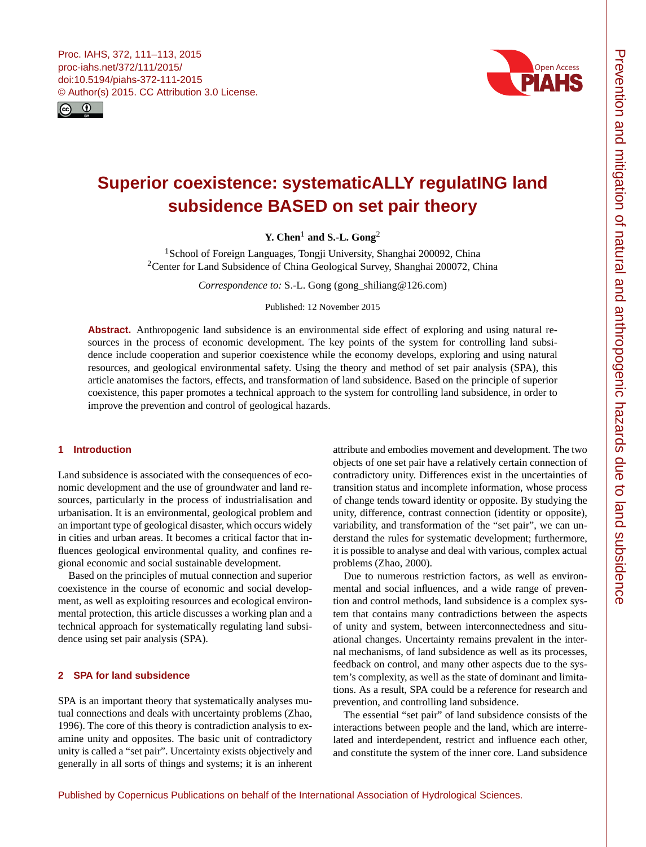<span id="page-0-1"></span>



# **Superior coexistence: systematicALLY regulatING land subsidence BASED on set pair theory**

**Y. Chen**[1](#page-0-0) **and S.-L. Gong**[2](#page-0-0)

<sup>1</sup>School of Foreign Languages, Tongji University, Shanghai 200092, China <sup>2</sup>Center for Land Subsidence of China Geological Survey, Shanghai 200072, China

*Correspondence to:* S.-L. Gong (gong\_shiliang@126.com)

Published: 12 November 2015

**Abstract.** Anthropogenic land subsidence is an environmental side effect of exploring and using natural resources in the process of economic development. The key points of the system for controlling land subsidence include cooperation and superior coexistence while the economy develops, exploring and using natural resources, and geological environmental safety. Using the theory and method of set pair analysis (SPA), this article anatomises the factors, effects, and transformation of land subsidence. Based on the principle of superior coexistence, this paper promotes a technical approach to the system for controlling land subsidence, in order to improve the prevention and control of geological hazards.

# <span id="page-0-0"></span>**1 Introduction**

Land subsidence is associated with the consequences of economic development and the use of groundwater and land resources, particularly in the process of industrialisation and urbanisation. It is an environmental, geological problem and an important type of geological disaster, which occurs widely in cities and urban areas. It becomes a critical factor that influences geological environmental quality, and confines regional economic and social sustainable development.

Based on the principles of mutual connection and superior coexistence in the course of economic and social development, as well as exploiting resources and ecological environmental protection, this article discusses a working plan and a technical approach for systematically regulating land subsidence using set pair analysis (SPA).

## **2 SPA for land subsidence**

SPA is an important theory that systematically analyses mutual connections and deals with uncertainty problems (Zhao, 1996). The core of this theory is contradiction analysis to examine unity and opposites. The basic unit of contradictory unity is called a "set pair". Uncertainty exists objectively and generally in all sorts of things and systems; it is an inherent

attribute and embodies movement and development. The two objects of one set pair have a relatively certain connection of contradictory unity. Differences exist in the uncertainties of transition status and incomplete information, whose process of change tends toward identity or opposite. By studying the unity, difference, contrast connection (identity or opposite), variability, and transformation of the "set pair", we can understand the rules for systematic development; furthermore, it is possible to analyse and deal with various, complex actual problems (Zhao, 2000).

Due to numerous restriction factors, as well as environmental and social influences, and a wide range of prevention and control methods, land subsidence is a complex system that contains many contradictions between the aspects of unity and system, between interconnectedness and situational changes. Uncertainty remains prevalent in the internal mechanisms, of land subsidence as well as its processes, feedback on control, and many other aspects due to the system's complexity, as well as the state of dominant and limitations. As a result, SPA could be a reference for research and prevention, and controlling land subsidence.

The essential "set pair" of land subsidence consists of the interactions between people and the land, which are interrelated and interdependent, restrict and influence each other, and constitute the system of the inner core. Land subsidence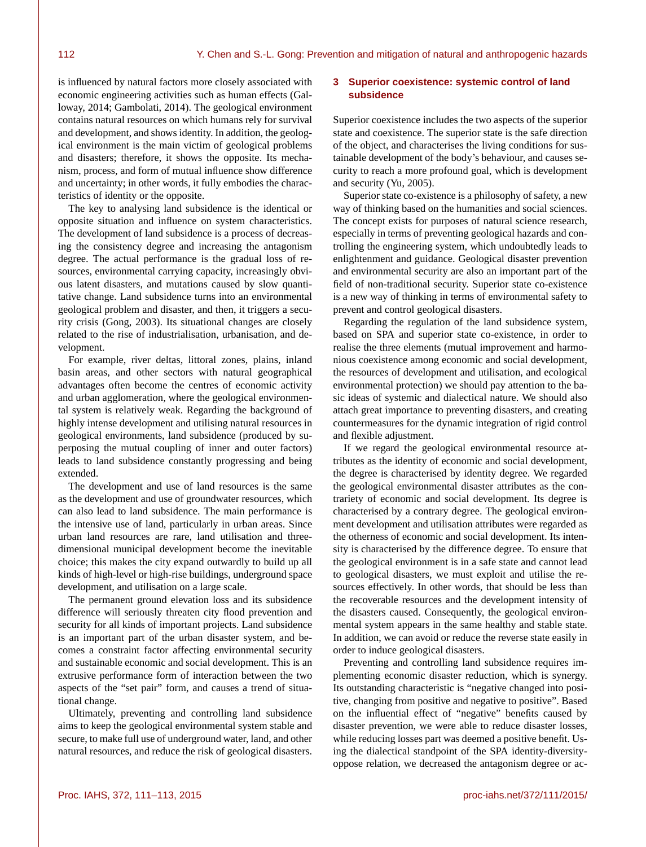is influenced by natural factors more closely associated with economic engineering activities such as human effects (Galloway, 2014; Gambolati, 2014). The geological environment contains natural resources on which humans rely for survival and development, and shows identity. In addition, the geological environment is the main victim of geological problems and disasters; therefore, it shows the opposite. Its mechanism, process, and form of mutual influence show difference and uncertainty; in other words, it fully embodies the characteristics of identity or the opposite.

The key to analysing land subsidence is the identical or opposite situation and influence on system characteristics. The development of land subsidence is a process of decreasing the consistency degree and increasing the antagonism degree. The actual performance is the gradual loss of resources, environmental carrying capacity, increasingly obvious latent disasters, and mutations caused by slow quantitative change. Land subsidence turns into an environmental geological problem and disaster, and then, it triggers a security crisis (Gong, 2003). Its situational changes are closely related to the rise of industrialisation, urbanisation, and development.

For example, river deltas, littoral zones, plains, inland basin areas, and other sectors with natural geographical advantages often become the centres of economic activity and urban agglomeration, where the geological environmental system is relatively weak. Regarding the background of highly intense development and utilising natural resources in geological environments, land subsidence (produced by superposing the mutual coupling of inner and outer factors) leads to land subsidence constantly progressing and being extended.

The development and use of land resources is the same as the development and use of groundwater resources, which can also lead to land subsidence. The main performance is the intensive use of land, particularly in urban areas. Since urban land resources are rare, land utilisation and threedimensional municipal development become the inevitable choice; this makes the city expand outwardly to build up all kinds of high-level or high-rise buildings, underground space development, and utilisation on a large scale.

The permanent ground elevation loss and its subsidence difference will seriously threaten city flood prevention and security for all kinds of important projects. Land subsidence is an important part of the urban disaster system, and becomes a constraint factor affecting environmental security and sustainable economic and social development. This is an extrusive performance form of interaction between the two aspects of the "set pair" form, and causes a trend of situational change.

Ultimately, preventing and controlling land subsidence aims to keep the geological environmental system stable and secure, to make full use of underground water, land, and other natural resources, and reduce the risk of geological disasters.

### **3 Superior coexistence: systemic control of land subsidence**

Superior coexistence includes the two aspects of the superior state and coexistence. The superior state is the safe direction of the object, and characterises the living conditions for sustainable development of the body's behaviour, and causes security to reach a more profound goal, which is development and security (Yu, 2005).

Superior state co-existence is a philosophy of safety, a new way of thinking based on the humanities and social sciences. The concept exists for purposes of natural science research, especially in terms of preventing geological hazards and controlling the engineering system, which undoubtedly leads to enlightenment and guidance. Geological disaster prevention and environmental security are also an important part of the field of non-traditional security. Superior state co-existence is a new way of thinking in terms of environmental safety to prevent and control geological disasters.

Regarding the regulation of the land subsidence system, based on SPA and superior state co-existence, in order to realise the three elements (mutual improvement and harmonious coexistence among economic and social development, the resources of development and utilisation, and ecological environmental protection) we should pay attention to the basic ideas of systemic and dialectical nature. We should also attach great importance to preventing disasters, and creating countermeasures for the dynamic integration of rigid control and flexible adjustment.

If we regard the geological environmental resource attributes as the identity of economic and social development, the degree is characterised by identity degree. We regarded the geological environmental disaster attributes as the contrariety of economic and social development. Its degree is characterised by a contrary degree. The geological environment development and utilisation attributes were regarded as the otherness of economic and social development. Its intensity is characterised by the difference degree. To ensure that the geological environment is in a safe state and cannot lead to geological disasters, we must exploit and utilise the resources effectively. In other words, that should be less than the recoverable resources and the development intensity of the disasters caused. Consequently, the geological environmental system appears in the same healthy and stable state. In addition, we can avoid or reduce the reverse state easily in order to induce geological disasters.

Preventing and controlling land subsidence requires implementing economic disaster reduction, which is synergy. Its outstanding characteristic is "negative changed into positive, changing from positive and negative to positive". Based on the influential effect of "negative" benefits caused by disaster prevention, we were able to reduce disaster losses, while reducing losses part was deemed a positive benefit. Using the dialectical standpoint of the SPA identity-diversityoppose relation, we decreased the antagonism degree or ac